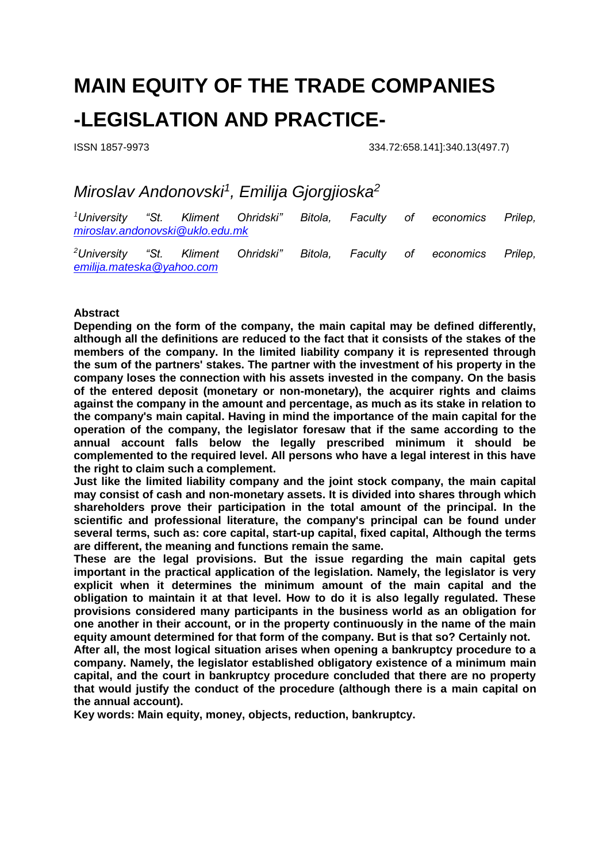# **MAIN EQUITY OF THE TRADE COMPANIES -LEGISLATION AND PRACTICE-**

ISSN 1857-9973 334.72:658.141]:340.13(497.7)

## *Miroslav Andonovski<sup>1</sup> , Emilija Gjorgjioska<sup>2</sup>*

*<sup>1</sup>University "St. Kliment Ohridski" Bitola, Faculty of economics Prilep, [miroslav.andonovski@uklo.edu.mk](mailto:miroslav.andonovski@uklo.edu.mk)*

*<sup>2</sup>University "St. Kliment Ohridski" Bitola, Faculty of economics Prilep, [emilija.mateska@yahoo.com](mailto:emilija.mateska@yahoo.com)*

#### **Abstract**

**Depending on the form of the company, the main capital may be defined differently, although all the definitions are reduced to the fact that it consists of the stakes of the members of the company. In the limited liability company it is represented through the sum of the partners' stakes. The partner with the investment of his property in the company loses the connection with his assets invested in the company. On the basis of the entered deposit (monetary or non-monetary), the acquirer rights and claims against the company in the amount and percentage, as much as its stake in relation to the company's main capital. Having in mind the importance of the main capital for the operation of the company, the legislator foresaw that if the same according to the annual account falls below the legally prescribed minimum it should be complemented to the required level. All persons who have a legal interest in this have the right to claim such a complement.**

**Just like the limited liability company and the joint stock company, the main capital may consist of cash and non-monetary assets. It is divided into shares through which shareholders prove their participation in the total amount of the principal. In the scientific and professional literature, the company's principal can be found under several terms, such as: core capital, start-up capital, fixed capital, Although the terms are different, the meaning and functions remain the same.**

**These are the legal provisions. But the issue regarding the main capital gets important in the practical application of the legislation. Namely, the legislator is very explicit when it determines the minimum amount of the main capital and the obligation to maintain it at that level. How to do it is also legally regulated. These provisions considered many participants in the business world as an obligation for one another in their account, or in the property continuously in the name of the main equity amount determined for that form of the company. But is that so? Certainly not.**

**After all, the most logical situation arises when opening a bankruptcy procedure to a company. Namely, the legislator established obligatory existence of a minimum main capital, and the court in bankruptcy procedure concluded that there are no property that would justify the conduct of the procedure (although there is a main capital on the annual account).**

**Key words: Main equity, money, objects, reduction, bankruptcy.**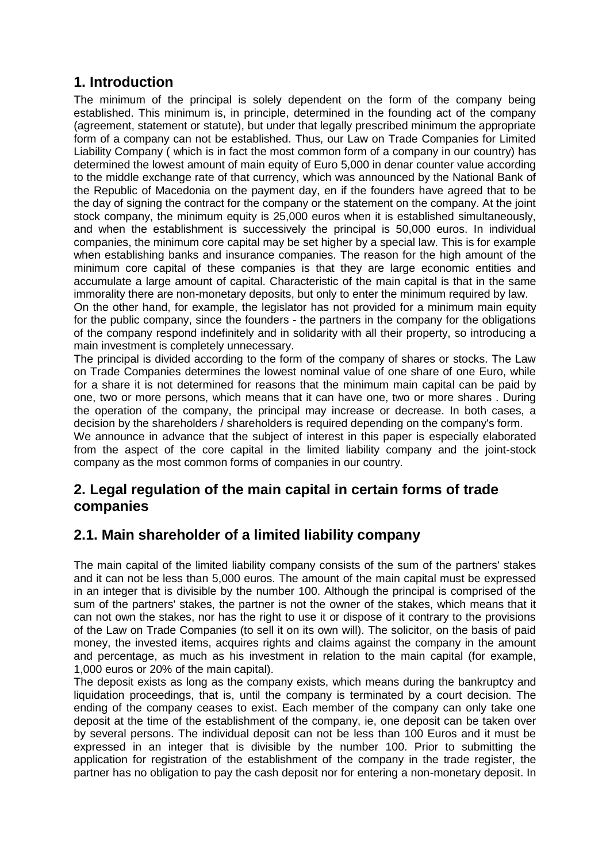#### **1. Introduction**

The minimum of the principal is solely dependent on the form of the company being established. This minimum is, in principle, determined in the founding act of the company (agreement, statement or statute), but under that legally prescribed minimum the appropriate form of a company can not be established. Thus, our Law on Trade Companies for Limited Liability Company ( which is in fact the most common form of a company in our country) has determined the lowest amount of main equity of Euro 5,000 in denar counter value according to the middle exchange rate of that currency, which was announced by the National Bank of the Republic of Macedonia on the payment day, en if the founders have agreed that to be the day of signing the contract for the company or the statement on the company. At the joint stock company, the minimum equity is 25,000 euros when it is established simultaneously, and when the establishment is successively the principal is 50,000 euros. In individual companies, the minimum core capital may be set higher by a special law. This is for example when establishing banks and insurance companies. The reason for the high amount of the minimum core capital of these companies is that they are large economic entities and accumulate a large amount of capital. Characteristic of the main capital is that in the same immorality there are non-monetary deposits, but only to enter the minimum required by law. On the other hand, for example, the legislator has not provided for a minimum main equity for the public company, since the founders - the partners in the company for the obligations

of the company respond indefinitely and in solidarity with all their property, so introducing a main investment is completely unnecessary. The principal is divided according to the form of the company of shares or stocks. The Law

on Trade Companies determines the lowest nominal value of one share of one Euro, while for a share it is not determined for reasons that the minimum main capital can be paid by one, two or more persons, which means that it can have one, two or more shares . During the operation of the company, the principal may increase or decrease. In both cases, a decision by the shareholders / shareholders is required depending on the company's form.

We announce in advance that the subject of interest in this paper is especially elaborated from the aspect of the core capital in the limited liability company and the joint-stock company as the most common forms of companies in our country.

#### **2. Legal regulation of the main capital in certain forms of trade companies**

#### **2.1. Main shareholder of a limited liability company**

The main capital of the limited liability company consists of the sum of the partners' stakes and it can not be less than 5,000 euros. The amount of the main capital must be expressed in an integer that is divisible by the number 100. Although the principal is comprised of the sum of the partners' stakes, the partner is not the owner of the stakes, which means that it can not own the stakes, nor has the right to use it or dispose of it contrary to the provisions of the Law on Trade Companies (to sell it on its own will). The solicitor, on the basis of paid money, the invested items, acquires rights and claims against the company in the amount and percentage, as much as his investment in relation to the main capital (for example, 1,000 euros or 20% of the main capital).

The deposit exists as long as the company exists, which means during the bankruptcy and liquidation proceedings, that is, until the company is terminated by a court decision. The ending of the company ceases to exist. Each member of the company can only take one deposit at the time of the establishment of the company, ie, one deposit can be taken over by several persons. The individual deposit can not be less than 100 Euros and it must be expressed in an integer that is divisible by the number 100. Prior to submitting the application for registration of the establishment of the company in the trade register, the partner has no obligation to pay the cash deposit nor for entering a non-monetary deposit. In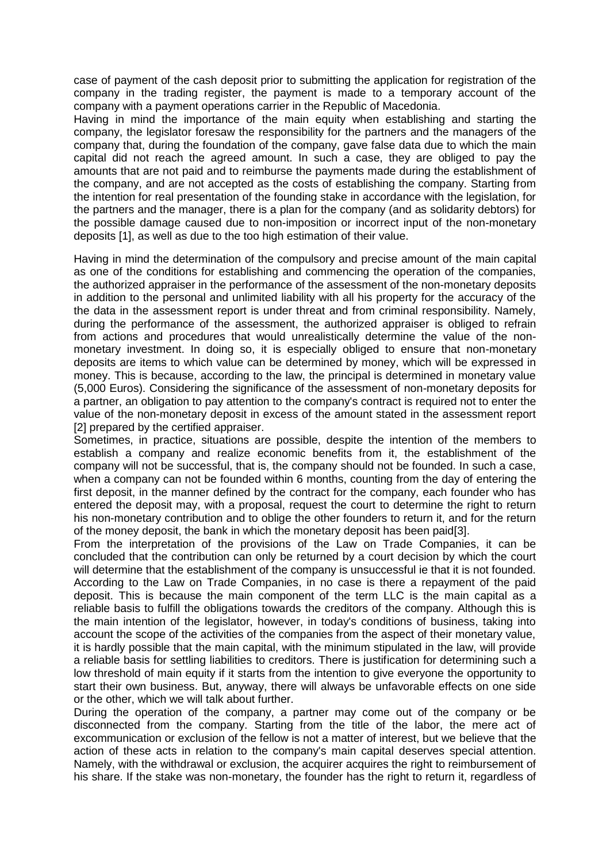case of payment of the cash deposit prior to submitting the application for registration of the company in the trading register, the payment is made to a temporary account of the company with a payment operations carrier in the Republic of Macedonia.

Having in mind the importance of the main equity when establishing and starting the company, the legislator foresaw the responsibility for the partners and the managers of the company that, during the foundation of the company, gave false data due to which the main capital did not reach the agreed amount. In such a case, they are obliged to pay the amounts that are not paid and to reimburse the payments made during the establishment of the company, and are not accepted as the costs of establishing the company. Starting from the intention for real presentation of the founding stake in accordance with the legislation, for the partners and the manager, there is a plan for the company (and as solidarity debtors) for the possible damage caused due to non-imposition or incorrect input of the non-monetary deposits [1], as well as due to the too high estimation of their value.

Having in mind the determination of the compulsory and precise amount of the main capital as one of the conditions for establishing and commencing the operation of the companies, the authorized appraiser in the performance of the assessment of the non-monetary deposits in addition to the personal and unlimited liability with all his property for the accuracy of the the data in the assessment report is under threat and from criminal responsibility. Namely, during the performance of the assessment, the authorized appraiser is obliged to refrain from actions and procedures that would unrealistically determine the value of the nonmonetary investment. In doing so, it is especially obliged to ensure that non-monetary deposits are items to which value can be determined by money, which will be expressed in money. This is because, according to the law, the principal is determined in monetary value (5,000 Euros). Considering the significance of the assessment of non-monetary deposits for a partner, an obligation to pay attention to the company's contract is required not to enter the value of the non-monetary deposit in excess of the amount stated in the assessment report [2] prepared by the certified appraiser.

Sometimes, in practice, situations are possible, despite the intention of the members to establish a company and realize economic benefits from it, the establishment of the company will not be successful, that is, the company should not be founded. In such a case, when a company can not be founded within 6 months, counting from the day of entering the first deposit, in the manner defined by the contract for the company, each founder who has entered the deposit may, with a proposal, request the court to determine the right to return his non-monetary contribution and to oblige the other founders to return it, and for the return of the money deposit, the bank in which the monetary deposit has been paid[3].

From the interpretation of the provisions of the Law on Trade Companies, it can be concluded that the contribution can only be returned by a court decision by which the court will determine that the establishment of the company is unsuccessful ie that it is not founded. According to the Law on Trade Companies, in no case is there a repayment of the paid deposit. This is because the main component of the term LLC is the main capital as a reliable basis to fulfill the obligations towards the creditors of the company. Although this is the main intention of the legislator, however, in today's conditions of business, taking into account the scope of the activities of the companies from the aspect of their monetary value, it is hardly possible that the main capital, with the minimum stipulated in the law, will provide a reliable basis for settling liabilities to creditors. There is justification for determining such a low threshold of main equity if it starts from the intention to give everyone the opportunity to start their own business. But, anyway, there will always be unfavorable effects on one side or the other, which we will talk about further.

During the operation of the company, a partner may come out of the company or be disconnected from the company. Starting from the title of the labor, the mere act of excommunication or exclusion of the fellow is not a matter of interest, but we believe that the action of these acts in relation to the company's main capital deserves special attention. Namely, with the withdrawal or exclusion, the acquirer acquires the right to reimbursement of his share. If the stake was non-monetary, the founder has the right to return it, regardless of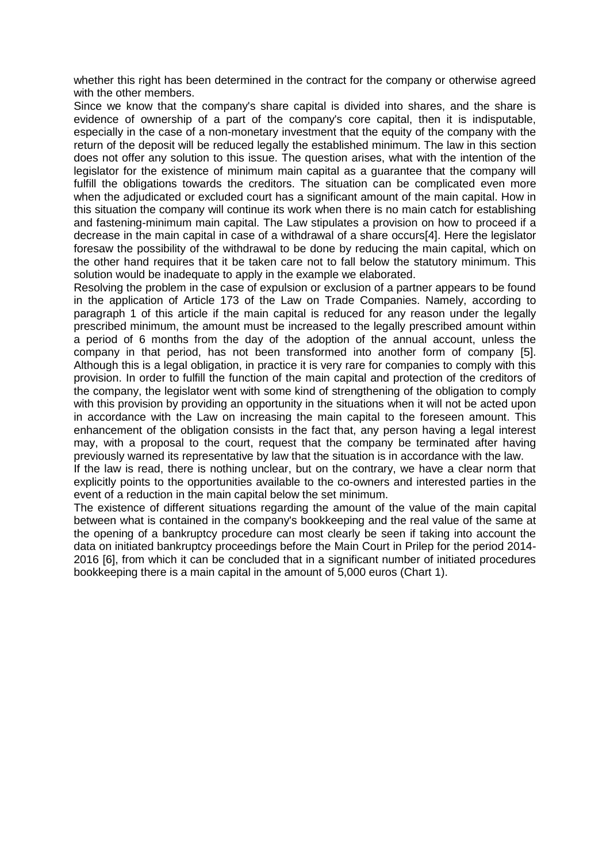whether this right has been determined in the contract for the company or otherwise agreed with the other members.

Since we know that the company's share capital is divided into shares, and the share is evidence of ownership of a part of the company's core capital, then it is indisputable, especially in the case of a non-monetary investment that the equity of the company with the return of the deposit will be reduced legally the established minimum. The law in this section does not offer any solution to this issue. The question arises, what with the intention of the legislator for the existence of minimum main capital as a guarantee that the company will fulfill the obligations towards the creditors. The situation can be complicated even more when the adjudicated or excluded court has a significant amount of the main capital. How in this situation the company will continue its work when there is no main catch for establishing and fastening-minimum main capital. The Law stipulates a provision on how to proceed if a decrease in the main capital in case of a withdrawal of a share occurs[4]. Here the legislator foresaw the possibility of the withdrawal to be done by reducing the main capital, which on the other hand requires that it be taken care not to fall below the statutory minimum. This solution would be inadequate to apply in the example we elaborated.

Resolving the problem in the case of expulsion or exclusion of a partner appears to be found in the application of Article 173 of the Law on Trade Companies. Namely, according to paragraph 1 of this article if the main capital is reduced for any reason under the legally prescribed minimum, the amount must be increased to the legally prescribed amount within a period of 6 months from the day of the adoption of the annual account, unless the company in that period, has not been transformed into another form of company [5]. Although this is a legal obligation, in practice it is very rare for companies to comply with this provision. In order to fulfill the function of the main capital and protection of the creditors of the company, the legislator went with some kind of strengthening of the obligation to comply with this provision by providing an opportunity in the situations when it will not be acted upon in accordance with the Law on increasing the main capital to the foreseen amount. This enhancement of the obligation consists in the fact that, any person having a legal interest may, with a proposal to the court, request that the company be terminated after having previously warned its representative by law that the situation is in accordance with the law.

If the law is read, there is nothing unclear, but on the contrary, we have a clear norm that explicitly points to the opportunities available to the co-owners and interested parties in the event of a reduction in the main capital below the set minimum.

The existence of different situations regarding the amount of the value of the main capital between what is contained in the company's bookkeeping and the real value of the same at the opening of a bankruptcy procedure can most clearly be seen if taking into account the data on initiated bankruptcy proceedings before the Main Court in Prilep for the period 2014- 2016 [6], from which it can be concluded that in a significant number of initiated procedures bookkeeping there is a main capital in the amount of 5,000 euros (Chart 1).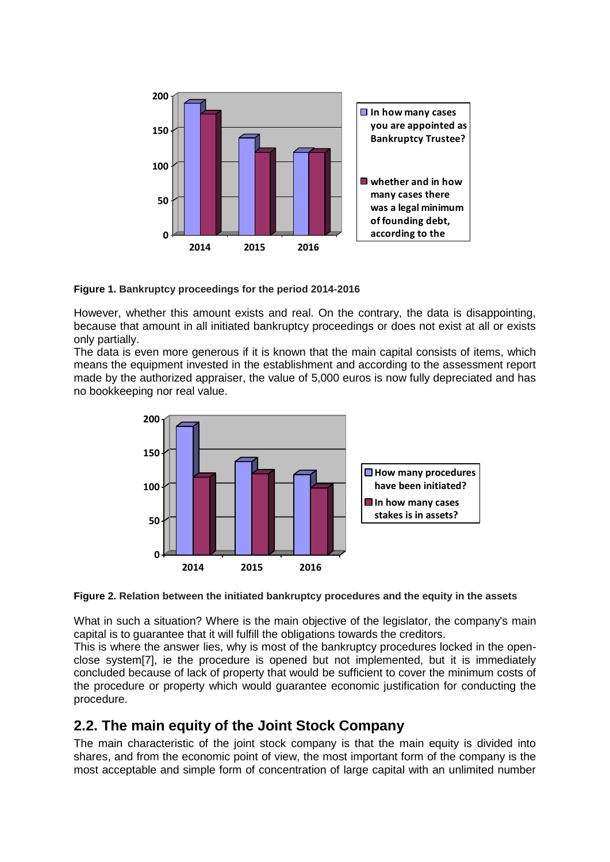

**Figure 1. Bankruptcy proceedings for the period 2014-2016**

However, whether this amount exists and real. On the contrary, the data is disappointing, because that amount in all initiated bankruptcy proceedings or does not exist at all or exists only partially.

The data is even more generous if it is known that the main capital consists of items, which means the equipment invested in the establishment and according to the assessment report made by the authorized appraiser, the value of 5,000 euros is now fully depreciated and has no bookkeeping nor real value.





What in such a situation? Where is the main objective of the legislator, the company's main capital is to guarantee that it will fulfill the obligations towards the creditors.

This is where the answer lies, why is most of the bankruptcy procedures locked in the openclose system[7], ie the procedure is opened but not implemented, but it is immediately concluded because of lack of property that would be sufficient to cover the minimum costs of the procedure or property which would guarantee economic justification for conducting the procedure.

#### **2.2. The main equity of the Joint Stock Company**

The main characteristic of the joint stock company is that the main equity is divided into shares, and from the economic point of view, the most important form of the company is the most acceptable and simple form of concentration of large capital with an unlimited number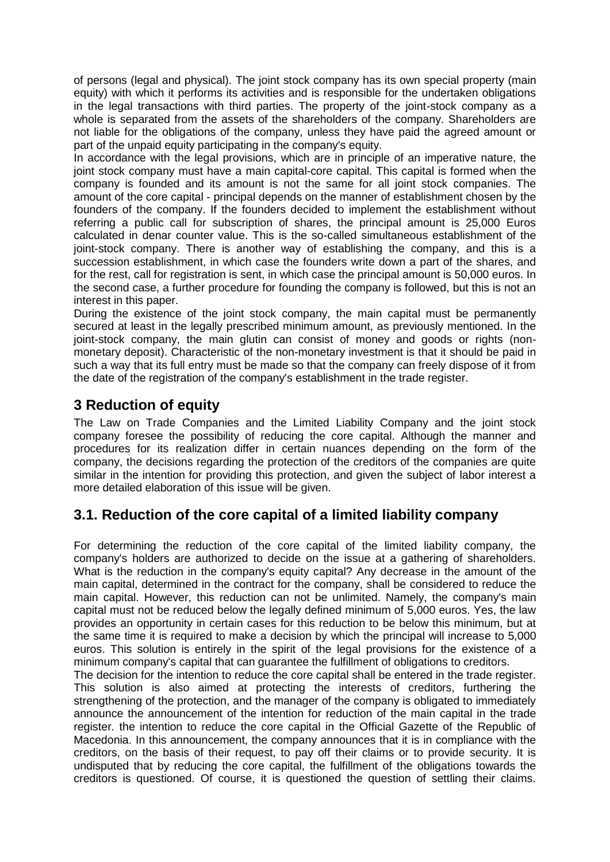of persons (legal and physical). The joint stock company has its own special property (main equity) with which it performs its activities and is responsible for the undertaken obligations in the legal transactions with third parties. The property of the joint-stock company as a whole is separated from the assets of the shareholders of the company. Shareholders are not liable for the obligations of the company, unless they have paid the agreed amount or part of the unpaid equity participating in the company's equity.

In accordance with the legal provisions, which are in principle of an imperative nature, the joint stock company must have a main capital-core capital. This capital is formed when the company is founded and its amount is not the same for all joint stock companies. The amount of the core capital - principal depends on the manner of establishment chosen by the founders of the company. If the founders decided to implement the establishment without referring a public call for subscription of shares, the principal amount is 25,000 Euros calculated in denar counter value. This is the so-called simultaneous establishment of the joint-stock company. There is another way of establishing the company, and this is a succession establishment, in which case the founders write down a part of the shares, and for the rest, call for registration is sent, in which case the principal amount is 50,000 euros. In the second case, a further procedure for founding the company is followed, but this is not an interest in this paper.

During the existence of the joint stock company, the main capital must be permanently secured at least in the legally prescribed minimum amount, as previously mentioned. In the joint-stock company, the main glutin can consist of money and goods or rights (nonmonetary deposit). Characteristic of the non-monetary investment is that it should be paid in such a way that its full entry must be made so that the company can freely dispose of it from the date of the registration of the company's establishment in the trade register.

#### **3 Reduction of equity**

The Law on Trade Companies and the Limited Liability Company and the joint stock company foresee the possibility of reducing the core capital. Although the manner and procedures for its realization differ in certain nuances depending on the form of the company, the decisions regarding the protection of the creditors of the companies are quite similar in the intention for providing this protection, and given the subject of labor interest a more detailed elaboration of this issue will be given.

### **3.1. Reduction of the core capital of a limited liability company**

For determining the reduction of the core capital of the limited liability company, the company's holders are authorized to decide on the issue at a gathering of shareholders. What is the reduction in the company's equity capital? Any decrease in the amount of the main capital, determined in the contract for the company, shall be considered to reduce the main capital. However, this reduction can not be unlimited. Namely, the company's main capital must not be reduced below the legally defined minimum of 5,000 euros. Yes, the law provides an opportunity in certain cases for this reduction to be below this minimum, but at the same time it is required to make a decision by which the principal will increase to 5,000 euros. This solution is entirely in the spirit of the legal provisions for the existence of a minimum company's capital that can guarantee the fulfillment of obligations to creditors.

The decision for the intention to reduce the core capital shall be entered in the trade register. This solution is also aimed at protecting the interests of creditors, furthering the strengthening of the protection, and the manager of the company is obligated to immediately announce the announcement of the intention for reduction of the main capital in the trade register. the intention to reduce the core capital in the Official Gazette of the Republic of Macedonia. In this announcement, the company announces that it is in compliance with the creditors, on the basis of their request, to pay off their claims or to provide security. It is undisputed that by reducing the core capital, the fulfillment of the obligations towards the creditors is questioned. Of course, it is questioned the question of settling their claims.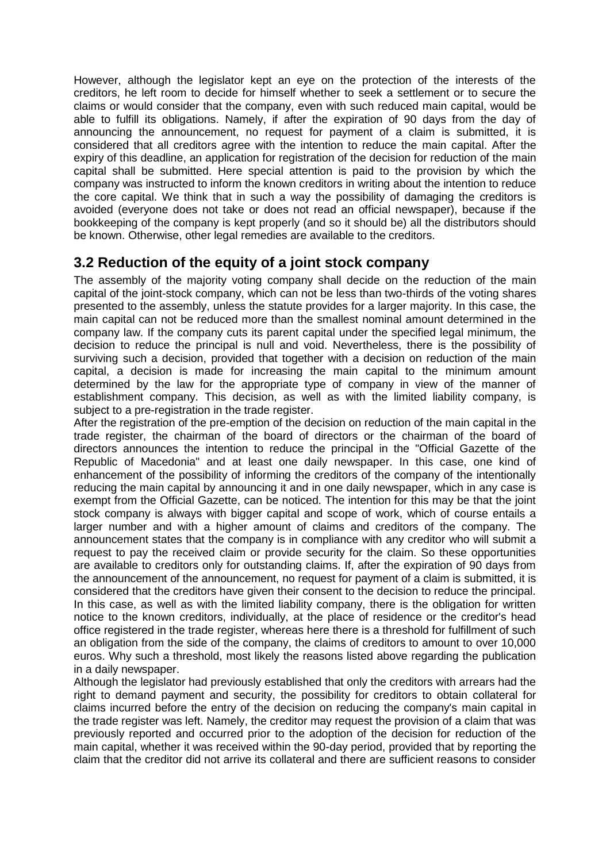However, although the legislator kept an eye on the protection of the interests of the creditors, he left room to decide for himself whether to seek a settlement or to secure the claims or would consider that the company, even with such reduced main capital, would be able to fulfill its obligations. Namely, if after the expiration of 90 days from the day of announcing the announcement, no request for payment of a claim is submitted, it is considered that all creditors agree with the intention to reduce the main capital. After the expiry of this deadline, an application for registration of the decision for reduction of the main capital shall be submitted. Here special attention is paid to the provision by which the company was instructed to inform the known creditors in writing about the intention to reduce the core capital. We think that in such a way the possibility of damaging the creditors is avoided (everyone does not take or does not read an official newspaper), because if the bookkeeping of the company is kept properly (and so it should be) all the distributors should be known. Otherwise, other legal remedies are available to the creditors.

#### **3.2 Reduction of the equity of a joint stock company**

The assembly of the majority voting company shall decide on the reduction of the main capital of the joint-stock company, which can not be less than two-thirds of the voting shares presented to the assembly, unless the statute provides for a larger majority. In this case, the main capital can not be reduced more than the smallest nominal amount determined in the company law. If the company cuts its parent capital under the specified legal minimum, the decision to reduce the principal is null and void. Nevertheless, there is the possibility of surviving such a decision, provided that together with a decision on reduction of the main capital, a decision is made for increasing the main capital to the minimum amount determined by the law for the appropriate type of company in view of the manner of establishment company. This decision, as well as with the limited liability company, is subject to a pre-registration in the trade register.

After the registration of the pre-emption of the decision on reduction of the main capital in the trade register, the chairman of the board of directors or the chairman of the board of directors announces the intention to reduce the principal in the "Official Gazette of the Republic of Macedonia" and at least one daily newspaper. In this case, one kind of enhancement of the possibility of informing the creditors of the company of the intentionally reducing the main capital by announcing it and in one daily newspaper, which in any case is exempt from the Official Gazette, can be noticed. The intention for this may be that the joint stock company is always with bigger capital and scope of work, which of course entails a larger number and with a higher amount of claims and creditors of the company. The announcement states that the company is in compliance with any creditor who will submit a request to pay the received claim or provide security for the claim. So these opportunities are available to creditors only for outstanding claims. If, after the expiration of 90 days from the announcement of the announcement, no request for payment of a claim is submitted, it is considered that the creditors have given their consent to the decision to reduce the principal. In this case, as well as with the limited liability company, there is the obligation for written notice to the known creditors, individually, at the place of residence or the creditor's head office registered in the trade register, whereas here there is a threshold for fulfillment of such an obligation from the side of the company, the claims of creditors to amount to over 10,000 euros. Why such a threshold, most likely the reasons listed above regarding the publication in a daily newspaper.

Although the legislator had previously established that only the creditors with arrears had the right to demand payment and security, the possibility for creditors to obtain collateral for claims incurred before the entry of the decision on reducing the company's main capital in the trade register was left. Namely, the creditor may request the provision of a claim that was previously reported and occurred prior to the adoption of the decision for reduction of the main capital, whether it was received within the 90-day period, provided that by reporting the claim that the creditor did not arrive its collateral and there are sufficient reasons to consider